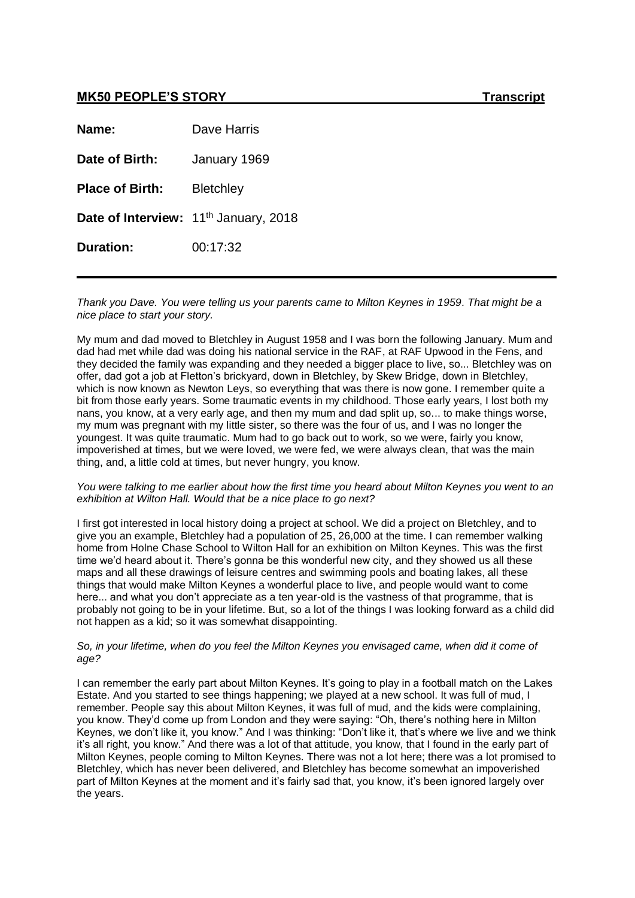# **MK50 PEOPLE'S STORY**

| Transcript |
|------------|
|------------|

| Name:                  | Dave Harris                                       |
|------------------------|---------------------------------------------------|
| Date of Birth:         | January 1969                                      |
| <b>Place of Birth:</b> | <b>Bletchley</b>                                  |
|                        | Date of Interview: 11 <sup>th</sup> January, 2018 |
| <b>Duration:</b>       | 00:17:32                                          |

*Thank you Dave. You were telling us your parents came to Milton Keynes in 1959. That might be a nice place to start your story.*

My mum and dad moved to Bletchley in August 1958 and I was born the following January. Mum and dad had met while dad was doing his national service in the RAF, at RAF Upwood in the Fens, and they decided the family was expanding and they needed a bigger place to live, so... Bletchley was on offer, dad got a job at Fletton's brickyard, down in Bletchley, by Skew Bridge, down in Bletchley, which is now known as Newton Leys, so everything that was there is now gone. I remember quite a bit from those early years. Some traumatic events in my childhood. Those early years, I lost both my nans, you know, at a very early age, and then my mum and dad split up, so... to make things worse, my mum was pregnant with my little sister, so there was the four of us, and I was no longer the youngest. It was quite traumatic. Mum had to go back out to work, so we were, fairly you know, impoverished at times, but we were loved, we were fed, we were always clean, that was the main thing, and, a little cold at times, but never hungry, you know.

#### *You were talking to me earlier about how the first time you heard about Milton Keynes you went to an exhibition at Wilton Hall. Would that be a nice place to go next?*

I first got interested in local history doing a project at school. We did a project on Bletchley, and to give you an example, Bletchley had a population of 25, 26,000 at the time. I can remember walking home from Holne Chase School to Wilton Hall for an exhibition on Milton Keynes. This was the first time we'd heard about it. There's gonna be this wonderful new city, and they showed us all these maps and all these drawings of leisure centres and swimming pools and boating lakes, all these things that would make Milton Keynes a wonderful place to live, and people would want to come here... and what you don't appreciate as a ten year-old is the vastness of that programme, that is probably not going to be in your lifetime. But, so a lot of the things I was looking forward as a child did not happen as a kid; so it was somewhat disappointing.

#### *So, in your lifetime, when do you feel the Milton Keynes you envisaged came, when did it come of age?*

I can remember the early part about Milton Keynes. It's going to play in a football match on the Lakes Estate. And you started to see things happening; we played at a new school. It was full of mud, I remember. People say this about Milton Keynes, it was full of mud, and the kids were complaining, you know. They'd come up from London and they were saying: "Oh, there's nothing here in Milton Keynes, we don't like it, you know." And I was thinking: "Don't like it, that's where we live and we think it's all right, you know." And there was a lot of that attitude, you know, that I found in the early part of Milton Keynes, people coming to Milton Keynes. There was not a lot here; there was a lot promised to Bletchley, which has never been delivered, and Bletchley has become somewhat an impoverished part of Milton Keynes at the moment and it's fairly sad that, you know, it's been ignored largely over the years.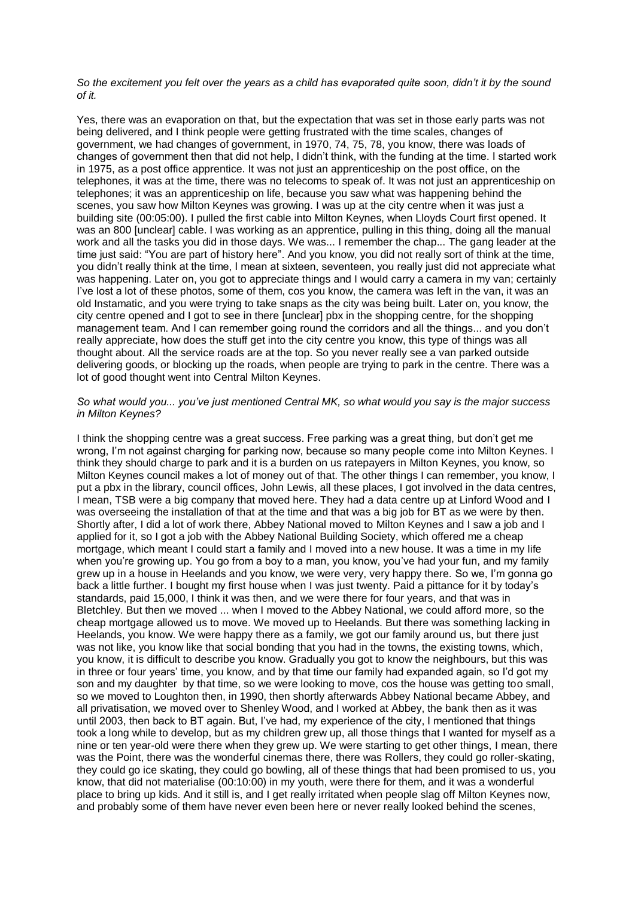## *So the excitement you felt over the years as a child has evaporated quite soon, didn't it by the sound of it.*

Yes, there was an evaporation on that, but the expectation that was set in those early parts was not being delivered, and I think people were getting frustrated with the time scales, changes of government, we had changes of government, in 1970, 74, 75, 78, you know, there was loads of changes of government then that did not help, I didn't think, with the funding at the time. I started work in 1975, as a post office apprentice. It was not just an apprenticeship on the post office, on the telephones, it was at the time, there was no telecoms to speak of. It was not just an apprenticeship on telephones; it was an apprenticeship on life, because you saw what was happening behind the scenes, you saw how Milton Keynes was growing. I was up at the city centre when it was just a building site (00:05:00). I pulled the first cable into Milton Keynes, when Lloyds Court first opened. It was an 800 [unclear] cable. I was working as an apprentice, pulling in this thing, doing all the manual work and all the tasks you did in those days. We was... I remember the chap... The gang leader at the time just said: "You are part of history here". And you know, you did not really sort of think at the time, you didn't really think at the time, I mean at sixteen, seventeen, you really just did not appreciate what was happening. Later on, you got to appreciate things and I would carry a camera in my van; certainly I've lost a lot of these photos, some of them, cos you know, the camera was left in the van, it was an old Instamatic, and you were trying to take snaps as the city was being built. Later on, you know, the city centre opened and I got to see in there [unclear] pbx in the shopping centre, for the shopping management team. And I can remember going round the corridors and all the things... and you don't really appreciate, how does the stuff get into the city centre you know, this type of things was all thought about. All the service roads are at the top. So you never really see a van parked outside delivering goods, or blocking up the roads, when people are trying to park in the centre. There was a lot of good thought went into Central Milton Keynes.

# *So what would you... you've just mentioned Central MK, so what would you say is the major success in Milton Keynes?*

I think the shopping centre was a great success. Free parking was a great thing, but don't get me wrong, I'm not against charging for parking now, because so many people come into Milton Keynes. I think they should charge to park and it is a burden on us ratepayers in Milton Keynes, you know, so Milton Keynes council makes a lot of money out of that. The other things I can remember, you know, I put a pbx in the library, council offices, John Lewis, all these places, I got involved in the data centres, I mean, TSB were a big company that moved here. They had a data centre up at Linford Wood and I was overseeing the installation of that at the time and that was a big job for BT as we were by then. Shortly after, I did a lot of work there, Abbey National moved to Milton Keynes and I saw a job and I applied for it, so I got a job with the Abbey National Building Society, which offered me a cheap mortgage, which meant I could start a family and I moved into a new house. It was a time in my life when you're growing up. You go from a boy to a man, you know, you've had your fun, and my family grew up in a house in Heelands and you know, we were very, very happy there. So we, I'm gonna go back a little further. I bought my first house when I was just twenty. Paid a pittance for it by today's standards, paid 15,000, I think it was then, and we were there for four years, and that was in Bletchley. But then we moved ... when I moved to the Abbey National, we could afford more, so the cheap mortgage allowed us to move. We moved up to Heelands. But there was something lacking in Heelands, you know. We were happy there as a family, we got our family around us, but there just was not like, you know like that social bonding that you had in the towns, the existing towns, which, you know, it is difficult to describe you know. Gradually you got to know the neighbours, but this was in three or four years' time, you know, and by that time our family had expanded again, so I'd got my son and my daughter by that time, so we were looking to move, cos the house was getting too small, so we moved to Loughton then, in 1990, then shortly afterwards Abbey National became Abbey, and all privatisation, we moved over to Shenley Wood, and I worked at Abbey, the bank then as it was until 2003, then back to BT again. But, I've had, my experience of the city, I mentioned that things took a long while to develop, but as my children grew up, all those things that I wanted for myself as a nine or ten year-old were there when they grew up. We were starting to get other things, I mean, there was the Point, there was the wonderful cinemas there, there was Rollers, they could go roller-skating, they could go ice skating, they could go bowling, all of these things that had been promised to us, you know, that did not materialise (00:10:00) in my youth, were there for them, and it was a wonderful place to bring up kids. And it still is, and I get really irritated when people slag off Milton Keynes now, and probably some of them have never even been here or never really looked behind the scenes,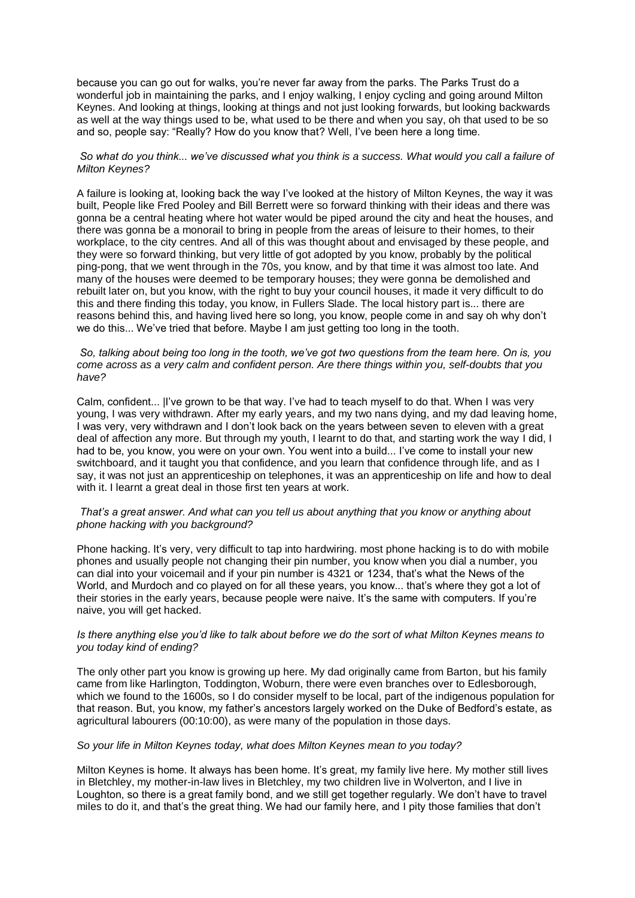because you can go out for walks, you're never far away from the parks. The Parks Trust do a wonderful job in maintaining the parks, and I enjoy walking, I enjoy cycling and going around Milton Keynes. And looking at things, looking at things and not just looking forwards, but looking backwards as well at the way things used to be, what used to be there and when you say, oh that used to be so and so, people say: "Really? How do you know that? Well, I've been here a long time.

# *So what do you think... we've discussed what you think is a success. What would you call a failure of Milton Keynes?*

A failure is looking at, looking back the way I've looked at the history of Milton Keynes, the way it was built, People like Fred Pooley and Bill Berrett were so forward thinking with their ideas and there was gonna be a central heating where hot water would be piped around the city and heat the houses, and there was gonna be a monorail to bring in people from the areas of leisure to their homes, to their workplace, to the city centres. And all of this was thought about and envisaged by these people, and they were so forward thinking, but very little of got adopted by you know, probably by the political ping-pong, that we went through in the 70s, you know, and by that time it was almost too late. And many of the houses were deemed to be temporary houses; they were gonna be demolished and rebuilt later on, but you know, with the right to buy your council houses, it made it very difficult to do this and there finding this today, you know, in Fullers Slade. The local history part is... there are reasons behind this, and having lived here so long, you know, people come in and say oh why don't we do this... We've tried that before. Maybe I am just getting too long in the tooth.

### *So, talking about being too long in the tooth, we've got two questions from the team here. On is, you come across as a very calm and confident person. Are there things within you, self-doubts that you have?*

Calm, confident... |I've grown to be that way. I've had to teach myself to do that. When I was very young, I was very withdrawn. After my early years, and my two nans dying, and my dad leaving home, I was very, very withdrawn and I don't look back on the years between seven to eleven with a great deal of affection any more. But through my youth, I learnt to do that, and starting work the way I did, I had to be, you know, you were on your own. You went into a build... I've come to install your new switchboard, and it taught you that confidence, and you learn that confidence through life, and as I say, it was not just an apprenticeship on telephones, it was an apprenticeship on life and how to deal with it. I learnt a great deal in those first ten years at work.

## *That's a great answer. And what can you tell us about anything that you know or anything about phone hacking with you background?*

Phone hacking. It's very, very difficult to tap into hardwiring. most phone hacking is to do with mobile phones and usually people not changing their pin number, you know when you dial a number, you can dial into your voicemail and if your pin number is 4321 or 1234, that's what the News of the World, and Murdoch and co played on for all these years, you know... that's where they got a lot of their stories in the early years, because people were naive. It's the same with computers. If you're naive, you will get hacked.

# *Is there anything else you'd like to talk about before we do the sort of what Milton Keynes means to you today kind of ending?*

The only other part you know is growing up here. My dad originally came from Barton, but his family came from like Harlington, Toddington, Woburn, there were even branches over to Edlesborough, which we found to the 1600s, so I do consider myself to be local, part of the indigenous population for that reason. But, you know, my father's ancestors largely worked on the Duke of Bedford's estate, as agricultural labourers (00:10:00), as were many of the population in those days.

# *So your life in Milton Keynes today, what does Milton Keynes mean to you today?*

Milton Keynes is home. It always has been home. It's great, my family live here. My mother still lives in Bletchley, my mother-in-law lives in Bletchley, my two children live in Wolverton, and I live in Loughton, so there is a great family bond, and we still get together regularly. We don't have to travel miles to do it, and that's the great thing. We had our family here, and I pity those families that don't